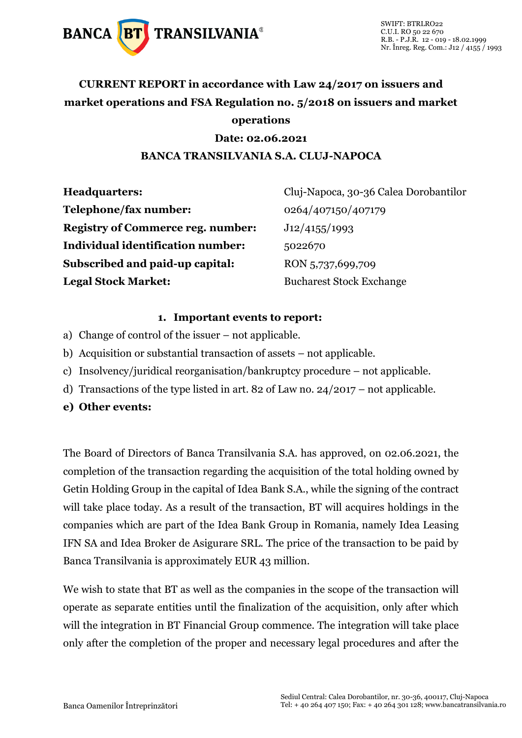

### **CURRENT REPORT in accordance with Law 24/2017 on issuers and market operations and FSA Regulation no. 5/2018 on issuers and market operations**

#### **Date: 02.06.2021 BANCA TRANSILVANIA S.A. CLUJ-NAPOCA**

| <b>Headquarters:</b>                     | Cluj-Napoca, 30-36 Calea Dorobantilor |
|------------------------------------------|---------------------------------------|
| Telephone/fax number:                    | 0264/407150/407179                    |
| <b>Registry of Commerce reg. number:</b> | J12/4155/1993                         |
| Individual identification number:        | 5022670                               |
| Subscribed and paid-up capital:          | RON 5,737,699,709                     |
| <b>Legal Stock Market:</b>               | <b>Bucharest Stock Exchange</b>       |

#### **1. Important events to report:**

- a) Change of control of the issuer not applicable.
- b) Acquisition or substantial transaction of assets not applicable.
- c) Insolvency/juridical reorganisation/bankruptcy procedure not applicable.
- d) Transactions of the type listed in art. 82 of Law no. 24/2017 not applicable.
- **e) Other events:**

The Board of Directors of Banca Transilvania S.A. has approved, on 02.06.2021, the completion of the transaction regarding the acquisition of the total holding owned by Getin Holding Group in the capital of Idea Bank S.A., while the signing of the contract will take place today. As a result of the transaction, BT will acquires holdings in the companies which are part of the Idea Bank Group in Romania, namely Idea Leasing IFN SA and Idea Broker de Asigurare SRL. The price of the transaction to be paid by Banca Transilvania is approximately EUR 43 million.

We wish to state that BT as well as the companies in the scope of the transaction will operate as separate entities until the finalization of the acquisition, only after which will the integration in BT Financial Group commence. The integration will take place only after the completion of the proper and necessary legal procedures and after the